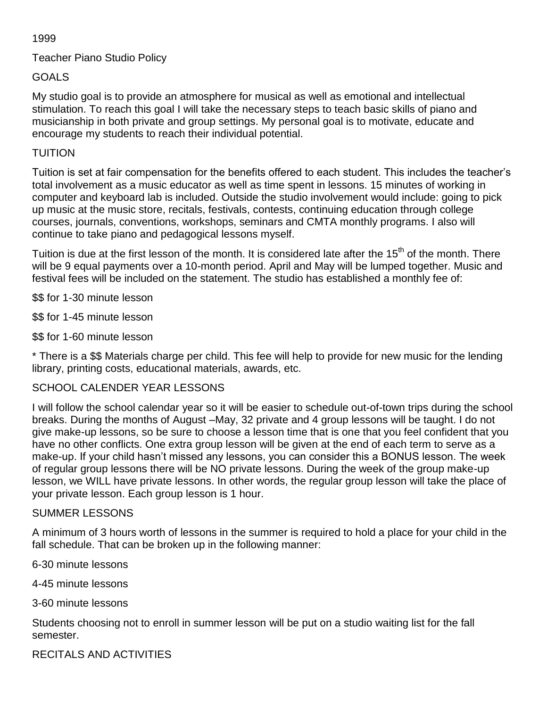## 1999

# Teacher Piano Studio Policy

# GOALS

My studio goal is to provide an atmosphere for musical as well as emotional and intellectual stimulation. To reach this goal I will take the necessary steps to teach basic skills of piano and musicianship in both private and group settings. My personal goal is to motivate, educate and encourage my students to reach their individual potential.

## TUITION

Tuition is set at fair compensation for the benefits offered to each student. This includes the teacher's total involvement as a music educator as well as time spent in lessons. 15 minutes of working in computer and keyboard lab is included. Outside the studio involvement would include: going to pick up music at the music store, recitals, festivals, contests, continuing education through college courses, journals, conventions, workshops, seminars and CMTA monthly programs. I also will continue to take piano and pedagogical lessons myself.

Tuition is due at the first lesson of the month. It is considered late after the 15<sup>th</sup> of the month. There will be 9 equal payments over a 10-month period. April and May will be lumped together. Music and festival fees will be included on the statement. The studio has established a monthly fee of:

\$\$ for 1-30 minute lesson

\$\$ for 1-45 minute lesson

\$\$ for 1-60 minute lesson

\* There is a \$\$ Materials charge per child. This fee will help to provide for new music for the lending library, printing costs, educational materials, awards, etc.

# SCHOOL CALENDER YEAR LESSONS

I will follow the school calendar year so it will be easier to schedule out-of-town trips during the school breaks. During the months of August –May, 32 private and 4 group lessons will be taught. I do not give make-up lessons, so be sure to choose a lesson time that is one that you feel confident that you have no other conflicts. One extra group lesson will be given at the end of each term to serve as a make-up. If your child hasn't missed any lessons, you can consider this a BONUS lesson. The week of regular group lessons there will be NO private lessons. During the week of the group make-up lesson, we WILL have private lessons. In other words, the regular group lesson will take the place of your private lesson. Each group lesson is 1 hour.

#### SUMMER LESSONS

A minimum of 3 hours worth of lessons in the summer is required to hold a place for your child in the fall schedule. That can be broken up in the following manner:

6-30 minute lessons

4-45 minute lessons

3-60 minute lessons

Students choosing not to enroll in summer lesson will be put on a studio waiting list for the fall semester.

RECITALS AND ACTIVITIES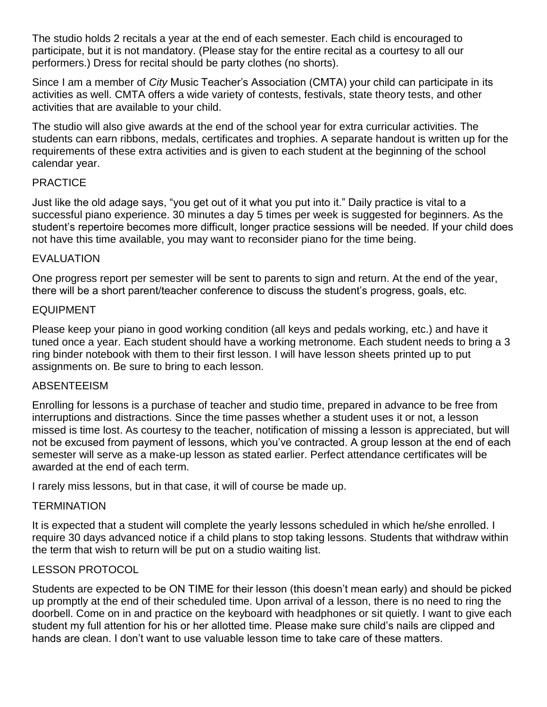The studio holds 2 recitals a year at the end of each semester. Each child is encouraged to participate, but it is not mandatory. (Please stay for the entire recital as a courtesy to all our performers.) Dress for recital should be party clothes (no shorts).

Since I am a member of *City* Music Teacher's Association (CMTA) your child can participate in its activities as well. CMTA offers a wide variety of contests, festivals, state theory tests, and other activities that are available to your child.

The studio will also give awards at the end of the school year for extra curricular activities. The students can earn ribbons, medals, certificates and trophies. A separate handout is written up for the requirements of these extra activities and is given to each student at the beginning of the school calendar year.

## PRACTICE

Just like the old adage says, "you get out of it what you put into it." Daily practice is vital to a successful piano experience. 30 minutes a day 5 times per week is suggested for beginners. As the student's repertoire becomes more difficult, longer practice sessions will be needed. If your child does not have this time available, you may want to reconsider piano for the time being.

#### EVALUATION

One progress report per semester will be sent to parents to sign and return. At the end of the year, there will be a short parent/teacher conference to discuss the student's progress, goals, etc.

#### EQUIPMENT

Please keep your piano in good working condition (all keys and pedals working, etc.) and have it tuned once a year. Each student should have a working metronome. Each student needs to bring a 3 ring binder notebook with them to their first lesson. I will have lesson sheets printed up to put assignments on. Be sure to bring to each lesson.

#### ABSENTEEISM

Enrolling for lessons is a purchase of teacher and studio time, prepared in advance to be free from interruptions and distractions. Since the time passes whether a student uses it or not, a lesson missed is time lost. As courtesy to the teacher, notification of missing a lesson is appreciated, but will not be excused from payment of lessons, which you've contracted. A group lesson at the end of each semester will serve as a make-up lesson as stated earlier. Perfect attendance certificates will be awarded at the end of each term.

I rarely miss lessons, but in that case, it will of course be made up.

#### **TERMINATION**

It is expected that a student will complete the yearly lessons scheduled in which he/she enrolled. I require 30 days advanced notice if a child plans to stop taking lessons. Students that withdraw within the term that wish to return will be put on a studio waiting list.

#### LESSON PROTOCOL

Students are expected to be ON TIME for their lesson (this doesn't mean early) and should be picked up promptly at the end of their scheduled time. Upon arrival of a lesson, there is no need to ring the doorbell. Come on in and practice on the keyboard with headphones or sit quietly. I want to give each student my full attention for his or her allotted time. Please make sure child's nails are clipped and hands are clean. I don't want to use valuable lesson time to take care of these matters.